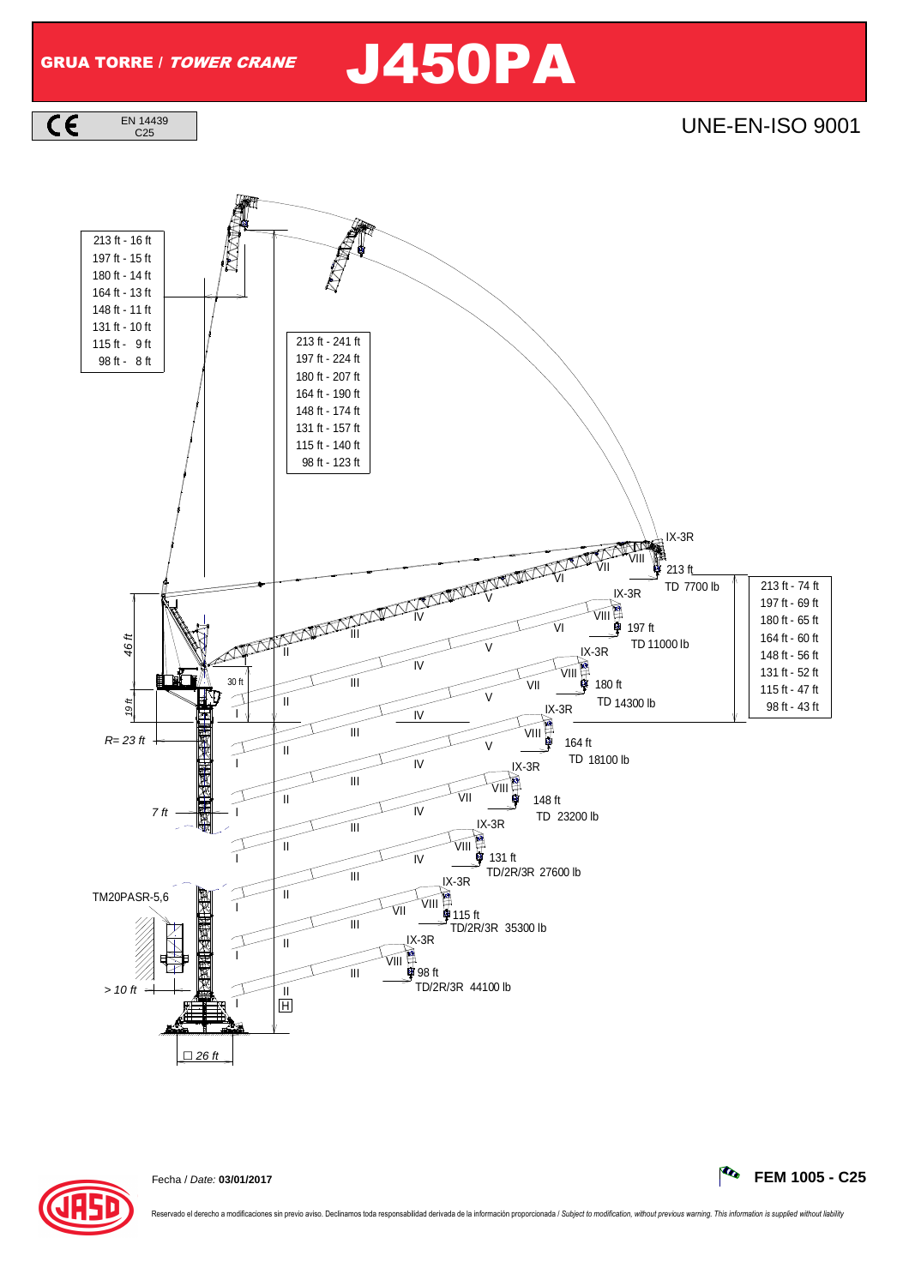

## C25 UNE-EN-ISO 9001





Fecha / Date: **03/01/2017 FEM 1005 - C25**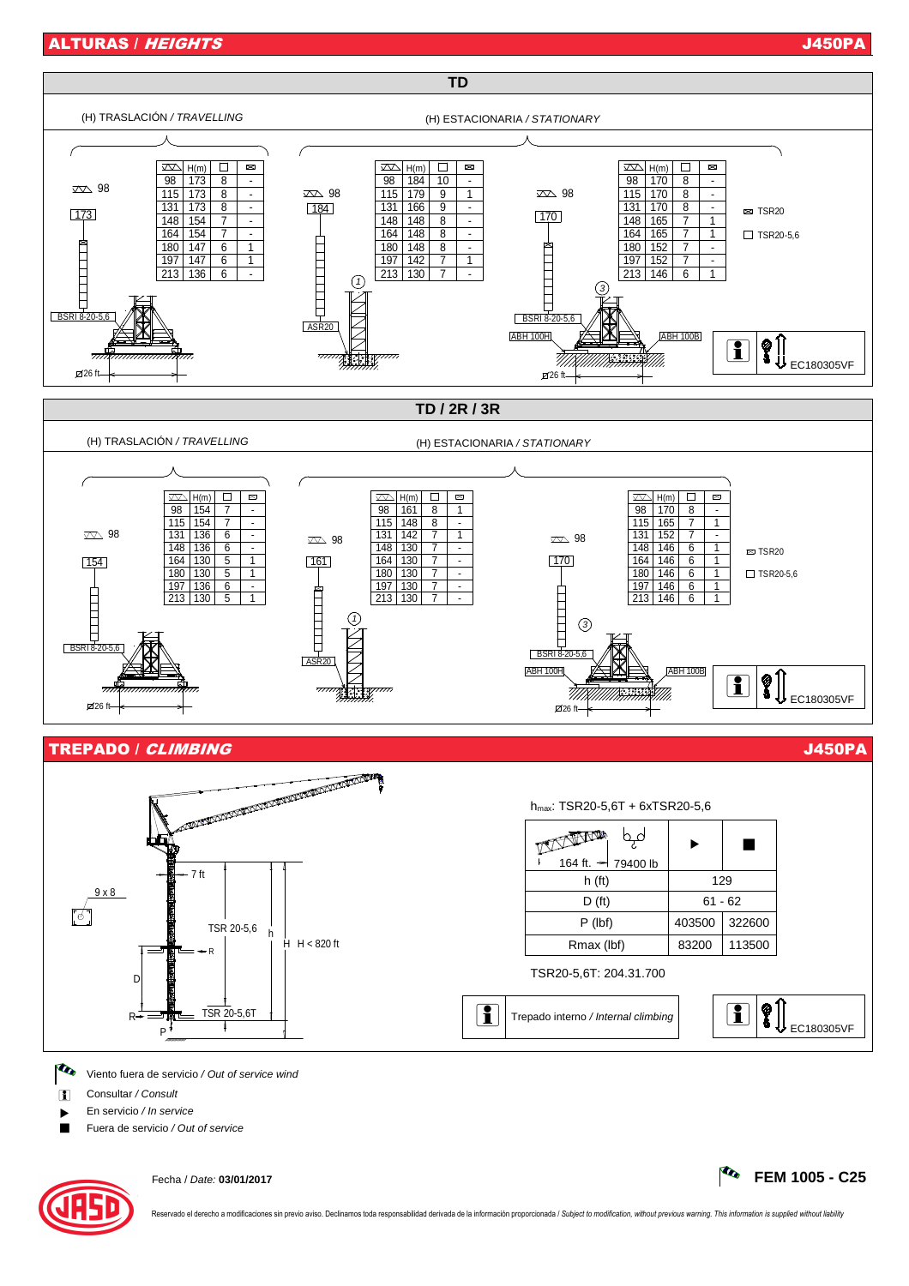

**i** Consultar / Consult

En servicio / In service

Fuera de servicio / Out of service



Fecha / Date: **03/01/2017 FEM 1005 - C25**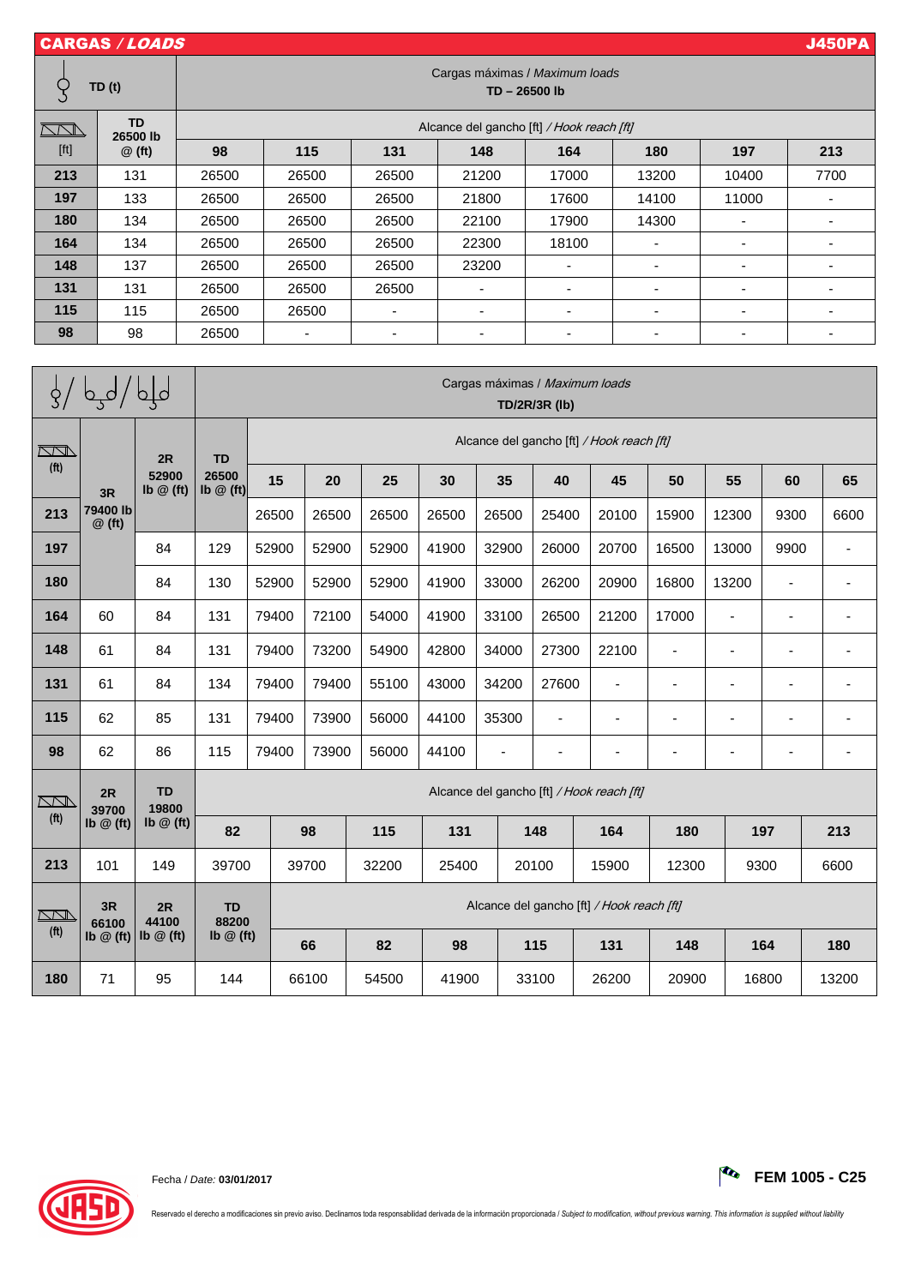| <b>CARGAS / LOADS</b>                                                                                                                                                                                                               |                                   |                                               |       |       |       |                          |                          |                          | <b>J450PA</b> |  |  |  |
|-------------------------------------------------------------------------------------------------------------------------------------------------------------------------------------------------------------------------------------|-----------------------------------|-----------------------------------------------|-------|-------|-------|--------------------------|--------------------------|--------------------------|---------------|--|--|--|
|                                                                                                                                                                                                                                     | TD(t)                             | Cargas máximas / Maximum loads<br>TD-26500 lb |       |       |       |                          |                          |                          |               |  |  |  |
| $\sqrt{2}$<br>$[ft] % \begin{center} % \includegraphics[width=\linewidth]{imagesSupplemental_3.png} % \end{center} % \caption { % Our method is used for the method. % The method is used in the text. % } % \label{fig:example} %$ | <b>TD</b><br>26500 lb<br>$@$ (ft) | Alcance del gancho [ft] / Hook reach [ft]     |       |       |       |                          |                          |                          |               |  |  |  |
|                                                                                                                                                                                                                                     |                                   | 98                                            | 115   | 131   | 148   | 164                      | 180                      | 197                      | 213           |  |  |  |
| 213                                                                                                                                                                                                                                 | 131                               | 26500                                         | 26500 | 26500 | 21200 | 17000                    | 13200                    | 10400                    | 7700          |  |  |  |
| 197                                                                                                                                                                                                                                 | 133                               | 26500                                         | 26500 | 26500 | 21800 | 17600                    | 14100                    | 11000                    |               |  |  |  |
| 180                                                                                                                                                                                                                                 | 134                               | 26500                                         | 26500 | 26500 | 22100 | 17900                    | 14300                    |                          |               |  |  |  |
| 164                                                                                                                                                                                                                                 | 134                               | 26500                                         | 26500 | 26500 | 22300 | 18100                    | -                        | $\overline{\phantom{a}}$ |               |  |  |  |
| 148                                                                                                                                                                                                                                 | 137                               | 26500                                         | 26500 | 26500 | 23200 |                          |                          |                          |               |  |  |  |
| 131                                                                                                                                                                                                                                 | 131                               | 26500                                         | 26500 | 26500 |       | ٠                        | $\overline{\phantom{0}}$ | $\overline{\phantom{0}}$ |               |  |  |  |
| 115                                                                                                                                                                                                                                 | 115                               | 26500                                         | 26500 |       |       | $\overline{\phantom{0}}$ | $\blacksquare$           |                          |               |  |  |  |
| 98                                                                                                                                                                                                                                  | 98                                | 26500                                         |       |       |       | -                        | $\overline{\phantom{0}}$ |                          |               |  |  |  |

|                                 | لملم / ليها / لو                     |                                                  | Cargas máximas / Maximum loads<br><b>TD/2R/3R (lb)</b> |                                           |       |       |       |       |                          |                          |                              |       |                          |                |
|---------------------------------|--------------------------------------|--------------------------------------------------|--------------------------------------------------------|-------------------------------------------|-------|-------|-------|-------|--------------------------|--------------------------|------------------------------|-------|--------------------------|----------------|
| <u>KN</u><br>(f <sup>t</sup> )  | 3R<br>79400 lb<br>$@$ (ft)           | 2R<br>52900<br>Ib $@$ (ft)<br>84                 | <b>TD</b><br>26500<br>Ib $@$ (ft)                      | Alcance del gancho [ft] / Hook reach [ft] |       |       |       |       |                          |                          |                              |       |                          |                |
|                                 |                                      |                                                  |                                                        | 15                                        | 20    | 25    | 30    | 35    | 40                       | 45                       | 50                           | 55    | 60                       | 65             |
| 213                             |                                      |                                                  |                                                        | 26500                                     | 26500 | 26500 | 26500 | 26500 | 25400                    | 20100                    | 15900                        | 12300 | 9300                     | 6600           |
| 197                             |                                      |                                                  | 129                                                    | 52900                                     | 52900 | 52900 | 41900 | 32900 | 26000                    | 20700                    | 16500                        | 13000 | 9900                     | $\blacksquare$ |
| 180                             |                                      | 84                                               | 130                                                    | 52900                                     | 52900 | 52900 | 41900 | 33000 | 26200                    | 20900                    | 16800                        | 13200 | $\blacksquare$           |                |
| 164                             | 60                                   | 84                                               | 131                                                    | 79400                                     | 72100 | 54000 | 41900 | 33100 | 26500                    | 21200                    | 17000                        |       | $\overline{\phantom{0}}$ |                |
| 148                             | 61                                   | 84                                               | 131                                                    | 79400                                     | 73200 | 54900 | 42800 | 34000 | 27300                    | 22100                    | $\blacksquare$               |       | $\overline{\phantom{0}}$ |                |
| 131                             | 61                                   | 84                                               | 134                                                    | 79400                                     | 79400 | 55100 | 43000 | 34200 | 27600                    | $\overline{\phantom{a}}$ | $\qquad \qquad \blacksquare$ |       | ÷,                       |                |
| 115                             | 62                                   | 85                                               | 131                                                    | 79400                                     | 73900 | 56000 | 44100 | 35300 | $\overline{\phantom{a}}$ | $\blacksquare$           | $\blacksquare$               |       | ä,                       |                |
| 98                              | 62                                   | 86                                               | 115                                                    | 79400                                     | 73900 | 56000 | 44100 |       |                          | $\overline{\phantom{a}}$ | $\blacksquare$               |       |                          |                |
| $\sqrt{2}$                      | 2R<br>39700<br>$lb \n\omega (ft)$    | <b>TD</b><br>19800<br>$\mathsf{lb} \oslash$ (ft) | Alcance del gancho [ft] / Hook reach [ft]              |                                           |       |       |       |       |                          |                          |                              |       |                          |                |
| (f <sup>t</sup> )               |                                      |                                                  | 82                                                     |                                           | 98    | 115   | 131   |       | 148                      | 164                      | 180                          |       | 197                      | 213            |
| 213                             | 101                                  | 149                                              | 39700                                                  |                                           | 39700 | 32200 | 25400 |       | 20100                    | 15900                    | 12300                        |       | 9300<br>6600             |                |
| $\sqrt{2}$<br>(f <sup>t</sup> ) | 3R<br>66100<br>$Ib \n\circledR$ (ft) | 2R<br>44100<br>Ib $@$ (ft)                       | <b>TD</b><br>88200<br>$\mathsf{lb} \oslash$ (ft)       | Alcance del gancho [ft] / Hook reach [ft] |       |       |       |       |                          |                          |                              |       |                          |                |
|                                 |                                      |                                                  |                                                        |                                           | 66    | 82    | 98    |       | 115                      | 131                      | 148                          |       | 164                      | 180            |
| 180                             | 71                                   | 95                                               | 144                                                    |                                           | 66100 | 54500 | 41900 |       | 33100                    | 26200                    | 20900                        |       | 16800                    | 13200          |

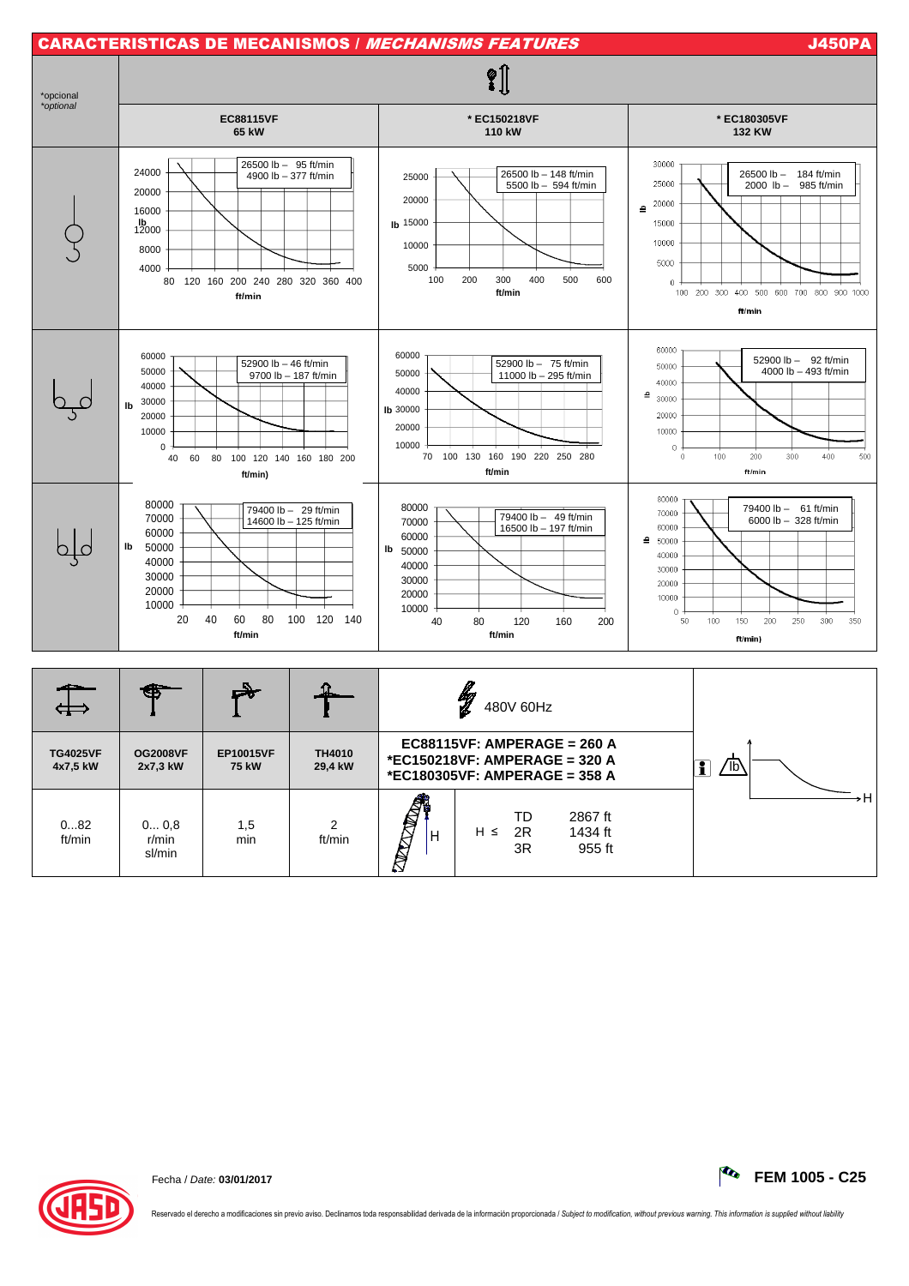

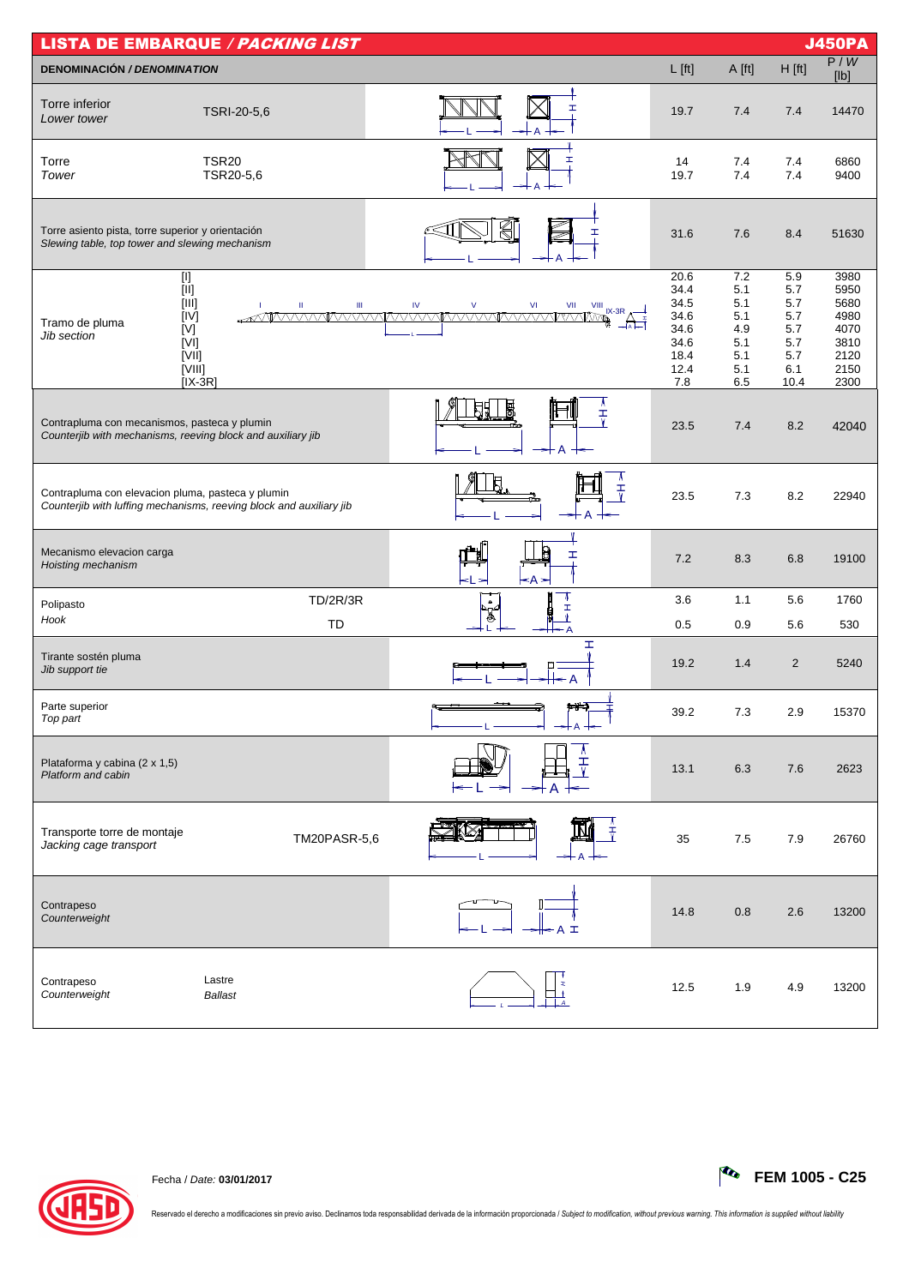| <b>LISTA DE EMBARQUE / PACKING LIST</b><br><b>J450PA</b>                                                                                                                                                                                                                                              |                                                                     |                                                                     |                                                                     |                                                             |                                                              |                                                                      |  |  |  |
|-------------------------------------------------------------------------------------------------------------------------------------------------------------------------------------------------------------------------------------------------------------------------------------------------------|---------------------------------------------------------------------|---------------------------------------------------------------------|---------------------------------------------------------------------|-------------------------------------------------------------|--------------------------------------------------------------|----------------------------------------------------------------------|--|--|--|
| <b>DENOMINACIÓN / DENOMINATION</b>                                                                                                                                                                                                                                                                    |                                                                     |                                                                     | $L$ [ft]                                                            | A [ft]                                                      | $H$ [ft]                                                     | P/W<br>[Ib]                                                          |  |  |  |
| Torre inferior<br>Lower tower                                                                                                                                                                                                                                                                         | TSRI-20-5,6                                                         | ┯                                                                   | 19.7                                                                | 7.4                                                         | 7.4                                                          | 14470                                                                |  |  |  |
| Torre<br>Tower                                                                                                                                                                                                                                                                                        | <b>TSR20</b><br>TSR20-5,6                                           |                                                                     | 14<br>19.7                                                          | 7.4<br>7.4                                                  | 7.4<br>7.4                                                   | 6860<br>9400                                                         |  |  |  |
| Torre asiento pista, torre superior y orientación<br>Slewing table, top tower and slewing mechanism                                                                                                                                                                                                   |                                                                     | €<br>ェ                                                              | 31.6                                                                | 7.6                                                         | 8.4                                                          | 51630                                                                |  |  |  |
| $\boxed{[]}$<br>$[  ] % \begin{center} % \includegraphics[width=\linewidth]{imagesSupplemental_3.png} % \end{center} % \caption { % Our method can be used for the proposed method. % } % \label{fig:example} %$<br>$[   ]$<br>[IV]<br>Tramo de pluma<br>[V]<br>Jib section<br>[V]<br>[VII]<br>[VIII] | Ш<br>Ш<br>$[IX-3R]$                                                 | $\mathsf{IV}$<br>$\vee$<br><b>VI</b><br>VII<br>$\frac{VIII}{IX-3R}$ | 20.6<br>34.4<br>34.5<br>34.6<br>34.6<br>34.6<br>18.4<br>12.4<br>7.8 | 7.2<br>5.1<br>5.1<br>5.1<br>4.9<br>5.1<br>5.1<br>5.1<br>6.5 | 5.9<br>5.7<br>5.7<br>5.7<br>5.7<br>5.7<br>5.7<br>6.1<br>10.4 | 3980<br>5950<br>5680<br>4980<br>4070<br>3810<br>2120<br>2150<br>2300 |  |  |  |
| Contrapluma con mecanismos, pasteca y plumin<br>Counterjib with mechanisms, reeving block and auxiliary jib                                                                                                                                                                                           |                                                                     | A<br>Ŧ                                                              | 23.5                                                                | 7.4                                                         | 8.2                                                          | 42040                                                                |  |  |  |
| Contrapluma con elevacion pluma, pasteca y plumin                                                                                                                                                                                                                                                     | Counterjib with luffing mechanisms, reeving block and auxiliary jib | ₹                                                                   | 23.5                                                                | 7.3                                                         | 8.2                                                          | 22940                                                                |  |  |  |
| Mecanismo elevacion carga<br>Hoisting mechanism                                                                                                                                                                                                                                                       |                                                                     | I<br><А∍                                                            | 7.2                                                                 | 8.3                                                         | 6.8                                                          | 19100                                                                |  |  |  |
| Polipasto                                                                                                                                                                                                                                                                                             | <b>TD/2R/3R</b>                                                     | $\bullet$<br>I                                                      | 3.6                                                                 | 1.1                                                         | 5.6                                                          | 1760                                                                 |  |  |  |
| Hook                                                                                                                                                                                                                                                                                                  | TD                                                                  | A<br>I                                                              | 0.5                                                                 | 0.9                                                         | 5.6                                                          | 530                                                                  |  |  |  |
| Tirante sostén pluma<br>Jib support tie                                                                                                                                                                                                                                                               |                                                                     |                                                                     | 19.2                                                                | 1.4                                                         | 2                                                            | 5240                                                                 |  |  |  |
| Parte superior<br>Top part                                                                                                                                                                                                                                                                            |                                                                     | طعم                                                                 | 39.2                                                                | 7.3                                                         | 2.9                                                          | 15370                                                                |  |  |  |
| Plataforma y cabina (2 x 1,5)<br>Platform and cabin                                                                                                                                                                                                                                                   |                                                                     |                                                                     | 13.1                                                                | 6.3                                                         | 7.6                                                          | 2623                                                                 |  |  |  |
| Transporte torre de montaje<br>Jacking cage transport                                                                                                                                                                                                                                                 | TM20PASR-5,6                                                        | Ŧ                                                                   | 35                                                                  | 7.5                                                         | 7.9                                                          | 26760                                                                |  |  |  |
| Contrapeso<br>Counterweight                                                                                                                                                                                                                                                                           |                                                                     | 工                                                                   | 14.8                                                                | 0.8                                                         | 2.6                                                          | 13200                                                                |  |  |  |
| Contrapeso<br>Counterweight                                                                                                                                                                                                                                                                           | Lastre<br><b>Ballast</b>                                            |                                                                     | 12.5                                                                | 1.9                                                         | 4.9                                                          | 13200                                                                |  |  |  |